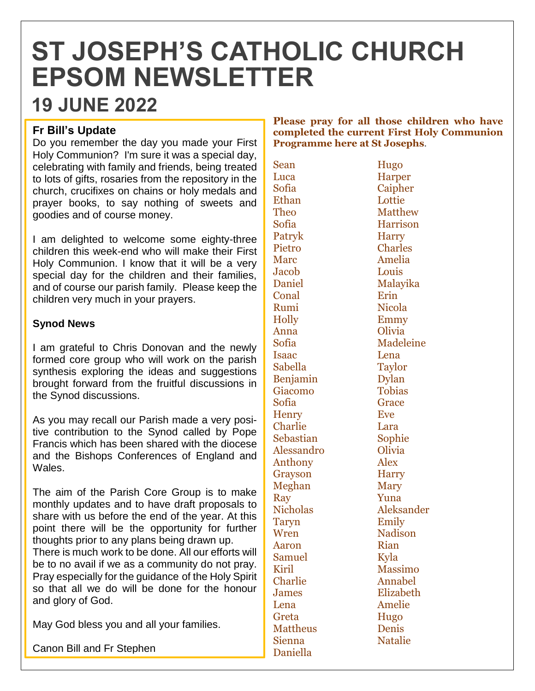# **ST JOSEPH'S CATHOLIC CHURCH EPSOM NEWSLETTER**

# **19 JUNE 2022**

## **Fr Bill's Update**

Do you remember the day you made your First Holy Communion? I'm sure it was a special day, celebrating with family and friends, being treated to lots of gifts, rosaries from the repository in the church, crucifixes on chains or holy medals and prayer books, to say nothing of sweets and goodies and of course money.

I am delighted to welcome some eighty-three children this week-end who will make their First Holy Communion. I know that it will be a very special day for the children and their families, and of course our parish family. Please keep the children very much in your prayers.

### **Synod News**

I am grateful to Chris Donovan and the newly formed core group who will work on the parish synthesis exploring the ideas and suggestions brought forward from the fruitful discussions in the Synod discussions.

As you may recall our Parish made a very positive contribution to the Synod called by Pope Francis which has been shared with the diocese and the Bishops Conferences of England and Wales.

The aim of the Parish Core Group is to make monthly updates and to have draft proposals to share with us before the end of the year. At this point there will be the opportunity for further thoughts prior to any plans being drawn up. There is much work to be done. All our efforts will be to no avail if we as a community do not pray. Pray especially for the guidance of the Holy Spirit so that all we do will be done for the honour and glory of God.

May God bless you and all your families.

Canon Bill and Fr Stephen

#### **Please pray for all those children who have completed the current First Holy Communion Programme here at St Josephs**.

| Sean            | Hugo           |
|-----------------|----------------|
| Luca            | Harper         |
| Sofia           | Caiphe         |
| Ethan           | Lottie         |
| <b>Theo</b>     | Matthe         |
| Sofia           | Harrise        |
| Patryk          | Harry          |
| Pietro          | <b>Charles</b> |
| <b>Marc</b>     | Amelia         |
| Jacob           | Louis          |
| Daniel          | Malayi         |
| Conal           | Erin           |
| Rumi            | Nicola         |
| Holly           | Emmy           |
| Anna            | Olivia         |
| Sofia           | Madele         |
| Isaac           | Lena           |
| Sabella         | Taylor         |
| Benjamin        | <b>Dylan</b>   |
| Giacomo         | <b>Tobias</b>  |
| Sofia           | Grace          |
| <b>Henry</b>    | Eve            |
| Charlie         | Lara           |
| Sebastian       | Sophie         |
| Alessandro      | Olivia         |
| Anthony         | Alex           |
| Grayson         | <b>Harry</b>   |
| Meghan          | <b>Mary</b>    |
| Ray             | Yuna           |
| <b>Nicholas</b> | Aleksa:        |
| <b>Taryn</b>    | Emily          |
| Wren            | <b>Nadiso</b>  |
| Aaron           | Rian           |
| Samuel          | Kyla           |
| Kiril           | Massin         |
| Charlie         | <b>Annab</b>   |
| James           | Elizabe        |
| Lena            | Amelie         |
| Greta           | Hugo           |
| <b>Mattheus</b> | Denis          |
| Sienna          | Natalie        |
| Daniella        |                |

rper ipher  $t$ tthew rrison arles nelia lavika deleine ksander<sub>s</sub> dison ssimo nabel zabeth **nelie** talie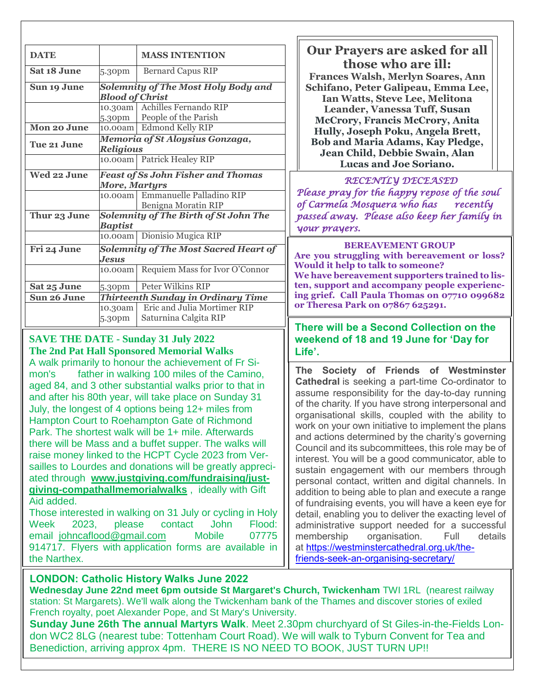| <b>DATE</b>                                                 |                                                              | <b>MASS INTENTION</b>                                     | <b>Our Prayers are asked for all</b><br>those who are ill:                                                                                                                                                          |
|-------------------------------------------------------------|--------------------------------------------------------------|-----------------------------------------------------------|---------------------------------------------------------------------------------------------------------------------------------------------------------------------------------------------------------------------|
| Sat 18 June                                                 | 5.30pm                                                       | <b>Bernard Capus RIP</b>                                  | <b>Frances Walsh, Merlyn Soares, Ann</b>                                                                                                                                                                            |
| Sun 19 June                                                 |                                                              | <b>Solemnity of The Most Holy Body and</b>                | Schifano, Peter Galipeau, Emma Lee,                                                                                                                                                                                 |
|                                                             | <b>Blood of Christ</b>                                       |                                                           | Ian Watts, Steve Lee, Melitona                                                                                                                                                                                      |
|                                                             | 10.30am                                                      | Achilles Fernando RIP                                     | Leander, Vanessa Tuff, Susan                                                                                                                                                                                        |
|                                                             | 5.30pm                                                       | People of the Parish                                      | <b>McCrory, Francis McCrory, Anita</b>                                                                                                                                                                              |
| Mon 20 June                                                 |                                                              | 10.00am Edmond Kelly RIP                                  | Hully, Joseph Poku, Angela Brett,                                                                                                                                                                                   |
| Tue 21 June                                                 | Memoria of St Aloysius Gonzaga,<br><b>Religious</b>          |                                                           | <b>Bob and Maria Adams, Kay Pledge,</b>                                                                                                                                                                             |
|                                                             |                                                              | 10.00am Patrick Healey RIP                                | Jean Child, Debbie Swain, Alan<br><b>Lucas and Joe Soriano.</b>                                                                                                                                                     |
| Wed 22 June                                                 |                                                              | <b>Feast of Ss John Fisher and Thomas</b>                 | RECENTLY DECEASED                                                                                                                                                                                                   |
|                                                             | More, Martyrs                                                |                                                           |                                                                                                                                                                                                                     |
|                                                             | 10.00am                                                      | Emmanuelle Palladino RIP                                  | Please pray for the happy repose of the soul<br>of Carmela Mosquera who has<br>recently                                                                                                                             |
| Thur 23 June                                                | Benigna Moratin RIP<br>Solemnity of The Birth of St John The |                                                           | passed away. Please also keep her family in                                                                                                                                                                         |
|                                                             | <b>Baptist</b>                                               | 10.00am Dionisio Mugica RIP                               | your prayers.                                                                                                                                                                                                       |
| Fri 24 June                                                 |                                                              | <b>Solemnity of The Most Sacred Heart of</b>              | <b>BEREAVEMENT GROUP</b>                                                                                                                                                                                            |
|                                                             | Jesus                                                        |                                                           | Are you struggling with bereavement or loss?                                                                                                                                                                        |
|                                                             | 10.00am                                                      | Requiem Mass for Ivor O'Connor                            | Would it help to talk to someone?<br>We have bereavement supporters trained to lis-                                                                                                                                 |
| Sat 25 June                                                 | 5.30pm                                                       | Peter Wilkins RIP                                         | ten, support and accompany people experienc-                                                                                                                                                                        |
| Sun 26 June                                                 | <b>Thirteenth Sunday in Ordinary Time</b>                    |                                                           | ing grief. Call Paula Thomas on 07710 099682                                                                                                                                                                        |
|                                                             | 10.30am                                                      | Eric and Julia Mortimer RIP                               | or Theresa Park on 07867 625291.                                                                                                                                                                                    |
|                                                             | 5.30pm                                                       | Saturnina Calgita RIP                                     | There will be a Second Collection on the                                                                                                                                                                            |
|                                                             |                                                              | <b>SAVE THE DATE - Sunday 31 July 2022</b>                | weekend of 18 and 19 June for 'Day for                                                                                                                                                                              |
|                                                             |                                                              | <b>The 2nd Pat Hall Sponsored Memorial Walks</b>          | Life'.                                                                                                                                                                                                              |
|                                                             |                                                              | A walk primarily to honour the achievement of Fr Si-      |                                                                                                                                                                                                                     |
| mon's                                                       |                                                              | father in walking 100 miles of the Camino,                | The Society of Friends of Westminster                                                                                                                                                                               |
|                                                             |                                                              | aged 84, and 3 other substantial walks prior to that in   | <b>Cathedral</b> is seeking a part-time Co-ordinator to                                                                                                                                                             |
| and after his 80th year, will take place on Sunday 31       |                                                              |                                                           | assume responsibility for the day-to-day running                                                                                                                                                                    |
| July, the longest of 4 options being 12+ miles from         |                                                              |                                                           | of the charity. If you have strong interpersonal and                                                                                                                                                                |
| Hampton Court to Roehampton Gate of Richmond                |                                                              |                                                           | organisational skills, coupled with the ability to                                                                                                                                                                  |
| Park. The shortest walk will be 1+ mile. Afterwards         |                                                              |                                                           | work on your own initiative to implement the plans<br>and actions determined by the charity's governing<br>Council and its subcommittees, this role may be of<br>interest. You will be a good communicator, able to |
| there will be Mass and a buffet supper. The walks will      |                                                              |                                                           |                                                                                                                                                                                                                     |
| raise money linked to the HCPT Cycle 2023 from Ver-         |                                                              |                                                           |                                                                                                                                                                                                                     |
| sailles to Lourdes and donations will be greatly appreci-   |                                                              |                                                           | sustain engagement with our members through                                                                                                                                                                         |
| ated through www.justgiving.com/fundraising/just-           |                                                              |                                                           | personal contact, written and digital channels. In                                                                                                                                                                  |
|                                                             |                                                              | giving-compathallmemorialwalks, ideally with Gift         | addition to being able to plan and execute a range                                                                                                                                                                  |
| Aid added.                                                  |                                                              |                                                           | of fundraising events, you will have a keen eye for                                                                                                                                                                 |
|                                                             |                                                              | Those interested in walking on 31 July or cycling in Holy | detail, enabling you to deliver the exacting level of                                                                                                                                                               |
| <b>John</b><br>Flood:<br>Week<br>2023.<br>please<br>contact |                                                              |                                                           | administrative support needed for a successful                                                                                                                                                                      |
| email johncaflood@gmail.com<br><b>Mobile</b><br>07775       |                                                              |                                                           | membership<br>organisation.<br>Full<br>details                                                                                                                                                                      |
| 914717. Flyers with application forms are available in      |                                                              |                                                           | at https://westminstercathedral.org.uk/the-                                                                                                                                                                         |

at [https://westminstercathedral.org.uk/the](https://westminstercathedral.org.uk/the-friends-seek-an-organising-secretary/)[friends-seek-an-organising-secretary/](https://westminstercathedral.org.uk/the-friends-seek-an-organising-secretary/)

# **LONDON: Catholic History Walks June 2022**

the Narthex.

**Wednesday June 22nd meet 6pm outside St Margaret's Church, Twickenham** TWI 1RL (nearest railway station: St Margarets). We'll walk along the Twickenham bank of the Thames and discover stories of exiled French royalty, poet Alexander Pope, and St Mary's University.

**Sunday June 26th The annual Martyrs Walk**. Meet 2.30pm churchyard of St Giles-in-the-Fields London WC2 8LG (nearest tube: Tottenham Court Road). We will walk to Tyburn Convent for Tea and Benediction, arriving approx 4pm. THERE IS NO NEED TO BOOK, JUST TURN UP!!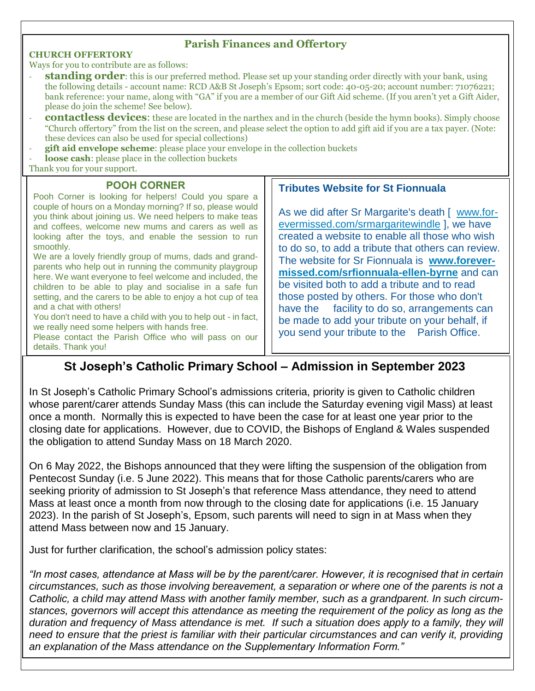#### **Parish Finances and Offertory**

#### **CHURCH OFFERTORY**

Ways for you to contribute are as follows:

- **standing order**: this is our preferred method. Please set up your standing order directly with your bank, using the following details - account name: RCD A&B St Joseph's Epsom; sort code: 40-05-20; account number: 71076221; bank reference: your name, along with "GA" if you are a member of our Gift Aid scheme. (If you aren't yet a Gift Aider, please do join the scheme! See below).
- **contactless devices**: these are located in the narthex and in the church (beside the hymn books). Simply choose "Church offertory" from the list on the screen, and please select the option to add gift aid if you are a tax payer. (Note: these devices can also be used for special collections)
- **gift aid envelope scheme**: please place your envelope in the collection buckets
- loose cash: please place in the collection buckets

Thank you for your support.

#### **POOH CORNER**

Pooh Corner is looking for helpers! Could you spare a couple of hours on a Monday morning? If so, please would you think about joining us. We need helpers to make teas and coffees, welcome new mums and carers as well as looking after the toys, and enable the session to run smoothly.

We are a lovely friendly group of mums, dads and grandparents who help out in running the community playgroup here. We want everyone to feel welcome and included, the children to be able to play and socialise in a safe fun setting, and the carers to be able to enjoy a hot cup of tea and a chat with others!

You don't need to have a child with you to help out - in fact, we really need some helpers with hands free.

Please contact the Parish Office who will pass on our details. Thank you!

#### **Tributes Website for St Fionnuala**

As we did after Sr Margarite's death [ [www.for](http://www.forevermissed.com/srmargaritewindle)[evermissed.com/srmargaritewindle](http://www.forevermissed.com/srmargaritewindle) ], we have created a website to enable all those who wish to do so, to add a tribute that others can review. The website for Sr Fionnuala is **[www.forever](http://www.forevermissed.com/srfionnuala-ellen-byrne)[missed.com/srfionnuala-ellen-byrne](http://www.forevermissed.com/srfionnuala-ellen-byrne)** and can be visited both to add a tribute and to read those posted by others. For those who don't have the facility to do so, arrangements can be made to add your tribute on your behalf, if you send your tribute to the Parish Office.

# **St Joseph's Catholic Primary School – Admission in September 2023**

In St Joseph's Catholic Primary School's admissions criteria, priority is given to Catholic children whose parent/carer attends Sunday Mass (this can include the Saturday evening vigil Mass) at least once a month. Normally this is expected to have been the case for at least one year prior to the closing date for applications. However, due to COVID, the Bishops of England & Wales suspended the obligation to attend Sunday Mass on 18 March 2020.

On 6 May 2022, the Bishops announced that they were lifting the suspension of the obligation from Pentecost Sunday (i.e. 5 June 2022). This means that for those Catholic parents/carers who are seeking priority of admission to St Joseph's that reference Mass attendance, they need to attend Mass at least once a month from now through to the closing date for applications (i.e. 15 January 2023). In the parish of St Joseph's, Epsom, such parents will need to sign in at Mass when they attend Mass between now and 15 January.

Just for further clarification, the school's admission policy states:

*"In most cases, attendance at Mass will be by the parent/carer. However, it is recognised that in certain circumstances, such as those involving bereavement, a separation or where one of the parents is not a Catholic, a child may attend Mass with another family member, such as a grandparent. In such circumstances, governors will accept this attendance as meeting the requirement of the policy as long as the duration and frequency of Mass attendance is met. If such a situation does apply to a family, they will need to ensure that the priest is familiar with their particular circumstances and can verify it, providing an explanation of the Mass attendance on the Supplementary Information Form."*